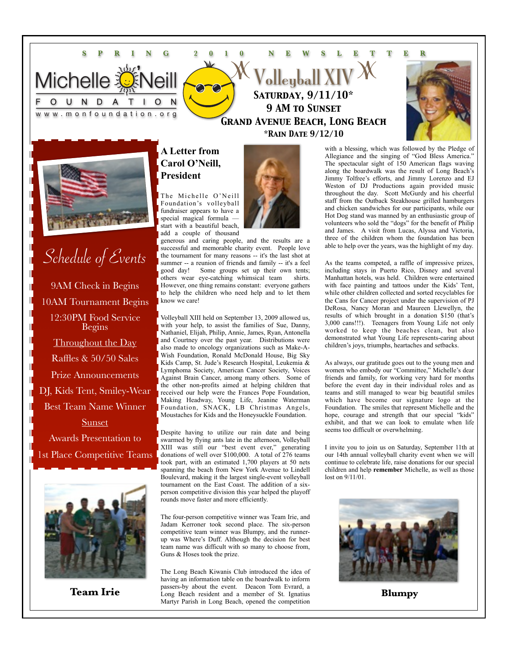#### **SPRING 2010 NEWSLETTER**  $\omega$ olleyball XI **Michelle** *Saturday, 9/11/10\**  $N$ D A U т *9 AM to Sunset* www.monfoundation.org *Grand Avenue Beach, Long Beach \*Rain Date 9/12/10*



# Schedule of Events 9AM Check in Begins 10AM Tournament Begins 12:30PM Food Service Begins Throughout the Day Raffles & 50/50 Sales Prize Announcements DJ, Kids Tent, Smiley-Wear Best Team Name Winner Sunset Awards Presentation to 1st Place Competitive Teams



### **A Letter from Carol O'Neill, President**

The Michelle O'Neill Foundation's volleyball fundraiser appears to have a special magical formula start with a beautiful beach, add a couple of thousand

generous and caring people, and the results are a successful and memorable charity event. People love the tournament for many reasons -- it's the last shot at summer -- a reunion of friends and family -- it's a feel good day! Some groups set up their own tents; others wear eye-catching whimsical team shirts. However, one thing remains constant: everyone gathers to help the children who need help and to let them know we care!

Volleyball XIII held on September 13, 2009 allowed us, with your help, to assist the families of Sue, Danny, Nathaniel, Elijah, Philip, Annie, James, Ryan, Antonella and Courtney over the past year. Distributions were also made to oncology organizations such as Make-A-Wish Foundation, Ronald McDonald House, Big Sky Kids Camp, St. Jude's Research Hospital, Leukemia & Lymphoma Society, American Cancer Society, Voices Against Brain Cancer, among many others. Some of the other non-profits aimed at helping children that received our help were the Frances Pope Foundation, Making Headway, Young Life, Jeanine Waterman Foundation, SNACK, LB Christmas Angels, Moustaches for Kids and the Honeysuckle Foundation.

Despite having to utilize our rain date and being swarmed by flying ants late in the afternoon, Volleyball XIII was still our "best event ever," generating donations of well over \$100,000. A total of 276 teams took part, with an estimated 1,700 players at 50 nets spanning the beach from New York Avenue to Lindell Boulevard, making it the largest single-event volleyball tournament on the East Coast. The addition of a sixperson competitive division this year helped the playoff rounds move faster and more efficiently.

The four-person competitive winner was Team Irie, and Jadam Kerroner took second place. The six-person competitive team winner was Blumpy, and the runnerup was Where's Duff. Although the decision for best team name was difficult with so many to choose from, Guns & Hoses took the prize.

The Long Beach Kiwanis Club introduced the idea of having an information table on the boardwalk to inform passers-by about the event. Deacon Tom Evrard, a **Team Irie Examplement Constanting Blumpy** about the event. Beacon four Evratu, a Martyr Parish in Long Beach, opened the competition



with a blessing, which was followed by the Pledge of Allegiance and the singing of "God Bless America." The spectacular sight of 150 American flags waving along the boardwalk was the result of Long Beach's Jimmy Tolfree's efforts, and Jimmy Lorenzo and EJ Weston of DJ Productions again provided music throughout the day. Scott McGurdy and his cheerful staff from the Outback Steakhouse grilled hamburgers and chicken sandwiches for our participants, while our Hot Dog stand was manned by an enthusiastic group of volunteers who sold the "dogs" for the benefit of Philip and James. A visit from Lucas, Alyssa and Victoria, three of the children whom the foundation has been able to help over the years, was the highlight of my day.

As the teams competed, a raffle of impressive prizes, including stays in Puerto Rico, Disney and several Manhattan hotels, was held. Children were entertained with face painting and tattoos under the Kids' Tent, while other children collected and sorted recyclables for the Cans for Cancer project under the supervision of PJ DeRosa, Nancy Moran and Maureen Llewellyn, the results of which brought in a donation \$150 (that's 3,000 cans!!!). Teenagers from Young Life not only worked to keep the beaches clean, but also demonstrated what Young Life represents-caring about children's joys, triumphs, heartaches and setbacks.

As always, our gratitude goes out to the young men and women who embody our "Committee," Michelle's dear friends and family, for working very hard for months before the event day in their individual roles and as teams and still managed to wear big beautiful smiles which have become our signature logo at the Foundation. The smiles that represent Michelle and the hope, courage and strength that our special "kids" exhibit, and that we can look to emulate when life seems too difficult or overwhelming.

I invite you to join us on Saturday, September 11th at our 14th annual volleyball charity event when we will continue to celebrate life, raise donations for our special children and help **remember** Michelle, as well as those lost on 9/11/01.

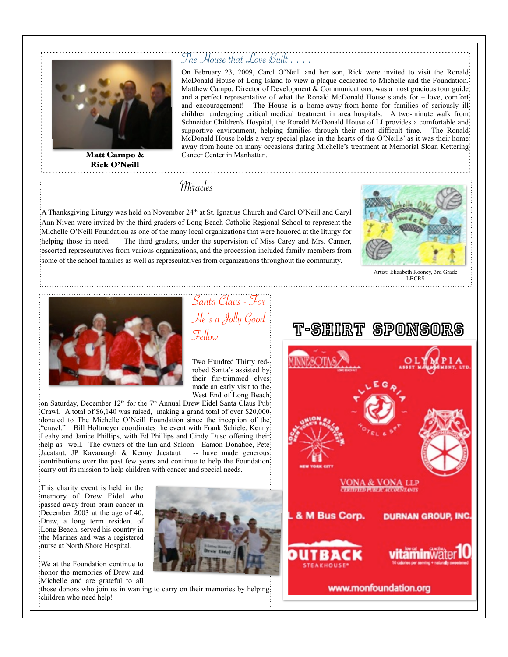

**Matt Campo & Rick O'Neill**

On February 23, 2009, Carol O'Neill and her son, Rick were invited to visit the Ronald McDonald House of Long Island to view a plaque dedicated to Michelle and the Foundation. Matthew Campo, Director of Development & Communications, was a most gracious tour guide: and a perfect representative of what the Ronald McDonald House stands for – love, comfort and encouragement! The House is a home-away-from-home for families of seriously ill children undergoing critical medical treatment in area hospitals. A two-minute walk from Schneider Children's Hospital, the Ronald McDonald House of LI provides a comfortable and supportive environment, helping families through their most difficult time. The Ronald McDonald House holds a very special place in the hearts of the O'Neills' as it was their home away from home on many occasions during Michelle's treatment at Memorial Sloan Kettering Cancer Center in Manhattan.

Miracles

A Thanksgiving Liturgy was held on November 24<sup>th</sup> at St. Ignatius Church and Carol O'Neill and Caryl: Ann Niven were invited by the third graders of Long Beach Catholic Regional School to represent the Michelle O'Neill Foundation as one of the many local organizations that were honored at the liturgy for helping those in need. The third graders, under the supervision of Miss Carey and Mrs. Canner, escorted representatives from various organizations, and the procession included family members from some of the school families as well as representatives from organizations throughout the community.



Artist: Elizabeth Rooney, 3rd Grade LBCRS



Santa Claus - For He's a Jolly Good Fellow

The House that Love Built . . . .

Two Hundred Thirty redrobed Santa's assisted by their fur-trimmed elves made an early visit to the West End of Long Beach

on Saturday, December  $12<sup>th</sup>$  for the 7<sup>th</sup> Annual Drew Eidel Santa Claus Pub: Crawl. A total of \$6,140 was raised, making a grand total of over \$20,000 donated to The Michelle O'Neill Foundation since the inception of the "crawl." Bill Holtmeyer coordinates the event with Frank Schiele, Kenny: Leahy and Janice Phillips, with Ed Phillips and Cindy Duso offering their help as well. The owners of the Inn and Saloon—Eamon Donahoe, Pete: Jacataut, JP Kavanaugh & Kenny Jacataut -- have made generous: contributions over the past few years and continue to help the Foundation carry out its mission to help children with cancer and special needs.

This charity event is held in the memory of Drew Eidel who passed away from brain cancer in December 2003 at the age of 40. Drew, a long term resident of Long Beach, served his country in the Marines and was a registered nurse at North Shore Hospital.

We at the Foundation continue to honor the memories of Drew and Michelle and are grateful to all

those donors who join us in wanting to carry on their memories by helping children who need help!



## T-Shirt Sponsors

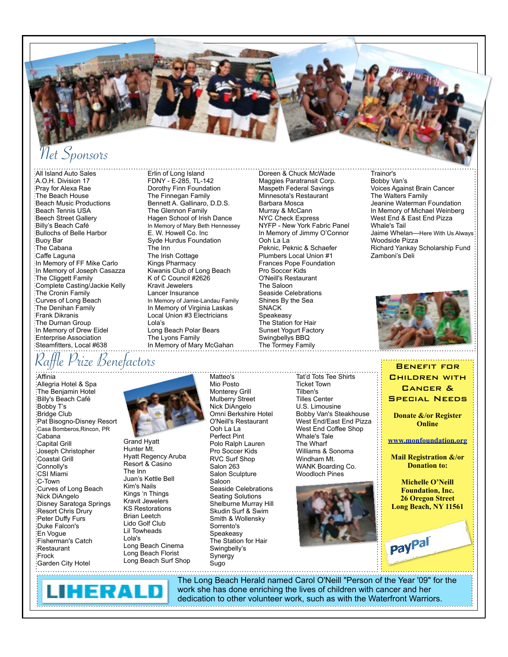

# Net Sponsors

All Island Auto Sales A.O.H. Division 17 Pray for Alexa Rae The Beach House Beach Music Productions Beach Tennis USA Beech Street Gallery Billy's Beach Café Bullochs of Belle Harbor Buoy Bar The Cabana Caffe Laguna In Memory of FF Mike Carlo In Memory of Joseph Casazza The Cliggett Family Complete Casting/Jackie Kelly The Cronin Family Curves of Long Beach The Denihan Family Frank Dikranis The Durnan Group In Memory of Drew Eidel Enterprise Association Steamfitters, Local #638

Erlin of Long Island FDNY - E-285, TL-142 Dorothy Finn Foundation The Finnegan Family Bennett A. Gallinaro, D.D.S. The Glennon Family Hagen School of Irish Dance In Memory of Mary Beth Hennessey E. W. Howell Co. Inc Syde Hurdus Foundation The Inn The Irish Cottage Kings Pharmacy Kiwanis Club of Long Beach K of C Council #2626 Kravit Jewelers Lancer Insurance In Memory of Jamie-Landau Family In Memory of Virginia Laskas Local Union #3 Electricians Lola's Long Beach Polar Bears The Lyons Family In Memory of Mary McGahan

Doreen & Chuck McWade Maggies Paratransit Corp. Maspeth Federal Savings Minnesota's Restaurant Barbara Mosca Murray & McCann NYC Check Express NYFP - New York Fabric Panel In Memory of Jimmy O'Connor Ooh La La Peknic, Peknic & Schaefer Plumbers Local Union #1 Frances Pope Foundation Pro Soccer Kids O'Neill's Restaurant The Saloon Seaside Celebrations Shines By the Sea SNACK Speakeasy The Station for Hair Sunset Yogurt Factory Swingbellys BBQ The Tormey Family

Trainor's Bobby Van's Voices Against Brain Cancer The Walters Family Jeanine Waterman Foundation In Memory of Michael Weinberg West End & East End Pizza Whale's Tail Jaime Whelan-Here With Us Always Woodside Pizza Richard Yankay Scholarship Fund Zamboni's Deli



**CHILDREN WITH** 

Raffle Prize Benefactors Band and the Benefit for Benefit for Benefit for Benefit for Benefit for Benefit for

Affinia Allegria Hotel & Spa The Benjamin Hotel Billy's Beach Café Bobby T's Bridge Club Pat Bisogno-Disney Resort Casa Bomberos,Rincon, PR Cabana Capital Grill Joseph Christopher Coastal Grill Connolly's CSI Miami C-Town Curves of Long Beach Nick DiAngelo Disney Saratoga Springs Resort Chris Drury Peter Duffy Furs Duke Falcon's En Vogue Fisherman's Catch Restaurant Frock

Grand Hyatt Hunter Mt. Hyatt Regency Aruba Resort & Casino The Inn Juan's Kettle Bell Kim's Nails Kings 'n Things Kravit Jewelers KS Restorations Brian Leetch Lido Golf Club Lil Towheads Lola's Long Beach Cinema Long Beach Florist Long Beach Surf Shop Mio Posto Monterey Grill Mulberry Street Nick DiAngelo Omni Berkshire Hotel O'Neill's Restaurant Ooh La La Perfect Pint Polo Ralph Lauren Pro Soccer Kids RVC Surf Shop Salon 263 Salon Sculpture Saloon Seaside Celebrations Seating Solutions Shelburne Murray Hill Skudin Surf & Swim Smith & Wollensky Sorrento's Speakeasy The Station for Hair Swingbelly's **Synergy** Sugo

Matteo's

Tat'd Tots Tee Shirts Ticket Town Tilben's Tilles Center U.S. Limousine Bobby Van's Steakhouse West End/East End Pizza West End Coffee Shop Whale's Tale The Wharf Williams & Sonoma Windham Mt. WANK Boarding Co. Woodloch Pines





paypal

Garden City Hotel



The Long Beach Herald named Carol O'Neill "Person of the Year '09" for the work she has done enriching the lives of children with cancer and her dedication to other volunteer work, such as with the Waterfront Warriors.